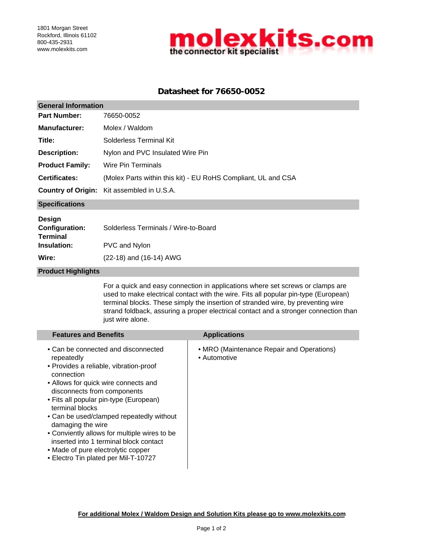

## **Datasheet for 76650-0052**

| <b>General Information</b>                                                        |                                                                                  |  |  |  |
|-----------------------------------------------------------------------------------|----------------------------------------------------------------------------------|--|--|--|
| <b>Part Number:</b>                                                               | 76650-0052                                                                       |  |  |  |
| <b>Manufacturer:</b>                                                              | Molex / Waldom                                                                   |  |  |  |
| Title:                                                                            | Solderless Terminal Kit                                                          |  |  |  |
| <b>Description:</b>                                                               | Nylon and PVC Insulated Wire Pin                                                 |  |  |  |
| <b>Product Family:</b>                                                            | Wire Pin Terminals                                                               |  |  |  |
| <b>Certificates:</b>                                                              | (Molex Parts within this kit) - EU RoHS Compliant, UL and CSA                    |  |  |  |
| <b>Country of Origin:</b>                                                         | Kit assembled in U.S.A.                                                          |  |  |  |
| <b>Specifications</b>                                                             |                                                                                  |  |  |  |
| Design<br><b>Configuration:</b><br><b>Terminal</b><br><b>Insulation:</b><br>Wire: | Solderless Terminals / Wire-to-Board<br>PVC and Nylon<br>(22-18) and (16-14) AWG |  |  |  |
| <b>Product Highlights</b>                                                         |                                                                                  |  |  |  |

For a quick and easy connection in applications where set screws or clamps are used to make electrical contact with the wire. Fits all popular pin-type (European) terminal blocks. These simply the insertion of stranded wire, by preventing wire strand foldback, assuring a proper electrical contact and a stronger connection than just wire alone.

| <b>Features and Benefits</b>                                                                                                                                                                                                                                                                                                                                                                                                                                                           | <b>Applications</b>                                       |
|----------------------------------------------------------------------------------------------------------------------------------------------------------------------------------------------------------------------------------------------------------------------------------------------------------------------------------------------------------------------------------------------------------------------------------------------------------------------------------------|-----------------------------------------------------------|
| • Can be connected and disconnected<br>repeatedly<br>• Provides a reliable, vibration-proof<br>connection<br>• Allows for quick wire connects and<br>disconnects from components<br>• Fits all popular pin-type (European)<br>terminal blocks<br>• Can be used/clamped repeatedly without<br>damaging the wire<br>• Conviently allows for multiple wires to be<br>inserted into 1 terminal block contact<br>• Made of pure electrolytic copper<br>• Electro Tin plated per Mil-T-10727 | • MRO (Maintenance Repair and Operations)<br>• Automotive |